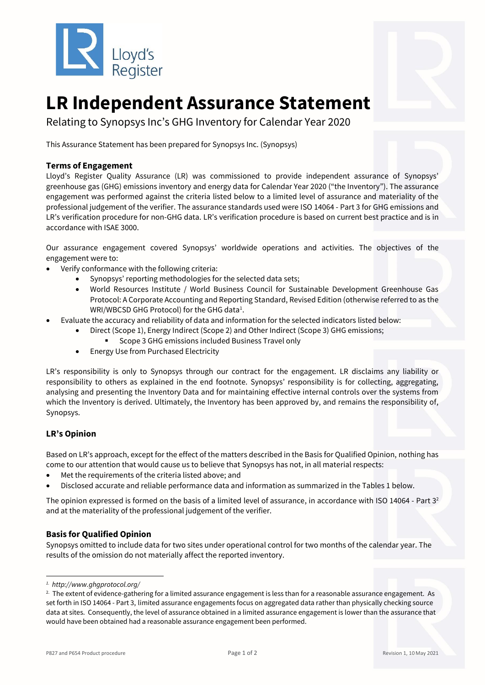



# **LR Independent Assurance Statement**

Relating to Synopsys Inc's GHG Inventory for Calendar Year 2020

This Assurance Statement has been prepared for Synopsys Inc. (Synopsys)

## **Terms of Engagement**

Lloyd's Register Quality Assurance (LR) was commissioned to provide independent assurance of Synopsys' greenhouse gas (GHG) emissions inventory and energy data for Calendar Year 2020 ("the Inventory"). The assurance engagement was performed against the criteria listed below to a limited level of assurance and materiality of the professional judgement of the verifier. The assurance standards used were ISO 14064 - Part 3 for GHG emissions and LR's verification procedure for non-GHG data. LR's verification procedure is based on current best practice and is in accordance with ISAE 3000.

Our assurance engagement covered Synopsys' worldwide operations and activities. The objectives of the engagement were to:

- Verify conformance with the following criteria:
	- Synopsys' reporting methodologies for the selected data sets;
	- World Resources Institute / World Business Council for Sustainable Development Greenhouse Gas Protocol: A Corporate Accounting and Reporting Standard, Revised Edition (otherwise referred to as the WRI/WBCSD GHG Protocol) for the GHG data<sup>1</sup>.
- Evaluate the accuracy and reliability of data and information for the selected indicators listed below:
	- Direct (Scope 1), Energy Indirect (Scope 2) and Other Indirect (Scope 3) GHG emissions;
	- Scope 3 GHG emissions included Business Travel only
	- Energy Use from Purchased Electricity

LR's responsibility is only to Synopsys through our contract for the engagement. LR disclaims any liability or responsibility to others as explained in the end footnote. Synopsys' responsibility is for collecting, aggregating, analysing and presenting the Inventory Data and for maintaining effective internal controls over the systems from which the Inventory is derived. Ultimately, the Inventory has been approved by, and remains the responsibility of, Synopsys.

## **LR's Opinion**

Based on LR's approach, except for the effect of the matters described in the Basis for Qualified Opinion, nothing has come to our attention that would cause us to believe that Synopsys has not, in all material respects:

- Met the requirements of the criteria listed above; and
- Disclosed accurate and reliable performance data and information as summarized in the Tables 1 below.

The opinion expressed is formed on the basis of a limited level of assurance, in accordance with ISO 14064 - Part  $3<sup>2</sup>$ and at the materiality of the professional judgement of the verifier.

## **Basis for Qualified Opinion**

Synopsys omitted to include data for two sites under operational control for two months of the calendar year. The results of the omission do not materially affect the reported inventory.

*<sup>1.</sup> http://www.ghgprotocol.org/*

 $^{2}$  The extent of evidence-gathering for a limited assurance engagement is less than for a reasonable assurance engagement. As set forth in ISO 14064 - Part 3, limited assurance engagements focus on aggregated data rather than physically checking source data at sites. Consequently, the level of assurance obtained in a limited assurance engagement is lower than the assurance that would have been obtained had a reasonable assurance engagement been performed.